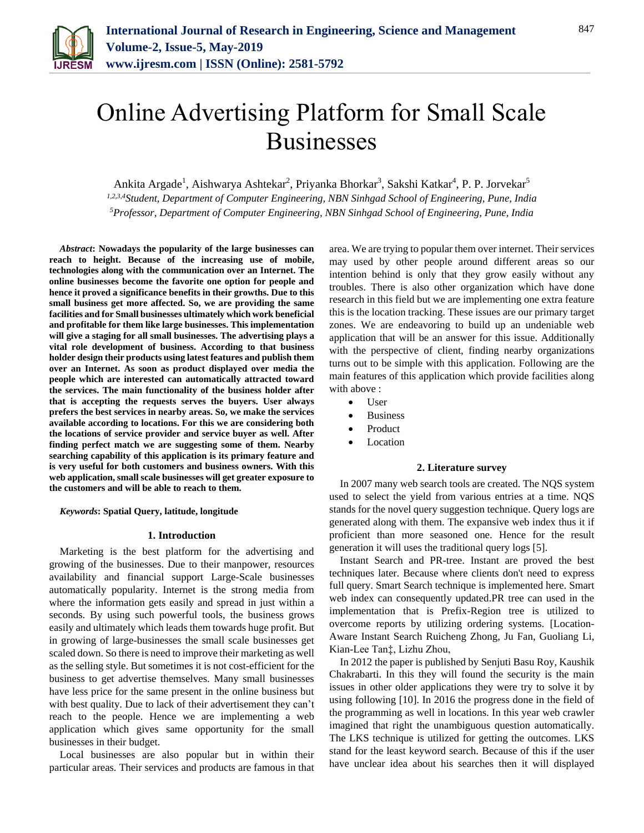

# Online Advertising Platform for Small Scale Businesses

Ankita Argade<sup>1</sup>, Aishwarya Ashtekar<sup>2</sup>, Priyanka Bhorkar<sup>3</sup>, Sakshi Katkar<sup>4</sup>, P. P. Jorvekar<sup>5</sup>

*1,2,3,4Student, Department of Computer Engineering, NBN Sinhgad School of Engineering, Pune, India 5Professor, Department of Computer Engineering, NBN Sinhgad School of Engineering, Pune, India*

*Abstract***: Nowadays the popularity of the large businesses can reach to height. Because of the increasing use of mobile, technologies along with the communication over an Internet. The online businesses become the favorite one option for people and hence it proved a significance benefits in their growths. Due to this small business get more affected. So, we are providing the same facilities and for Small businesses ultimately which work beneficial and profitable for them like large businesses. This implementation will give a staging for all small businesses. The advertising plays a vital role development of business. According to that business holder design their products using latest features and publish them over an Internet. As soon as product displayed over media the people which are interested can automatically attracted toward the services. The main functionality of the business holder after that is accepting the requests serves the buyers. User always prefers the best services in nearby areas. So, we make the services available according to locations. For this we are considering both the locations of service provider and service buyer as well. After finding perfect match we are suggesting some of them. Nearby searching capability of this application is its primary feature and is very useful for both customers and business owners. With this web application, small scale businesses will get greater exposure to the customers and will be able to reach to them.**

*Keywords***: Spatial Query, latitude, longitude**

#### **1. Introduction**

Marketing is the best platform for the advertising and growing of the businesses. Due to their manpower, resources availability and financial support Large-Scale businesses automatically popularity. Internet is the strong media from where the information gets easily and spread in just within a seconds. By using such powerful tools, the business grows easily and ultimately which leads them towards huge profit. But in growing of large-businesses the small scale businesses get scaled down. So there is need to improve their marketing as well as the selling style. But sometimes it is not cost-efficient for the business to get advertise themselves. Many small businesses have less price for the same present in the online business but with best quality. Due to lack of their advertisement they can't reach to the people. Hence we are implementing a web application which gives same opportunity for the small businesses in their budget.

Local businesses are also popular but in within their particular areas. Their services and products are famous in that area. We are trying to popular them over internet. Their services may used by other people around different areas so our intention behind is only that they grow easily without any troubles. There is also other organization which have done research in this field but we are implementing one extra feature this is the location tracking. These issues are our primary target zones. We are endeavoring to build up an undeniable web application that will be an answer for this issue. Additionally with the perspective of client, finding nearby organizations turns out to be simple with this application. Following are the main features of this application which provide facilities along with above :

- User
- Business
- Product
- Location

#### **2. Literature survey**

In 2007 many web search tools are created. The NQS system used to select the yield from various entries at a time. NQS stands for the novel query suggestion technique. Query logs are generated along with them. The expansive web index thus it if proficient than more seasoned one. Hence for the result generation it will uses the traditional query logs [5].

Instant Search and PR-tree. Instant are proved the best techniques later. Because where clients don't need to express full query. Smart Search technique is implemented here. Smart web index can consequently updated.PR tree can used in the implementation that is Prefix-Region tree is utilized to overcome reports by utilizing ordering systems. [Location-Aware Instant Search Ruicheng Zhong, Ju Fan, Guoliang Li, Kian-Lee Tan‡, Lizhu Zhou,

In 2012 the paper is published by Senjuti Basu Roy, Kaushik Chakrabarti. In this they will found the security is the main issues in other older applications they were try to solve it by using following [10]. In 2016 the progress done in the field of the programming as well in locations. In this year web crawler imagined that right the unambiguous question automatically. The LKS technique is utilized for getting the outcomes. LKS stand for the least keyword search. Because of this if the user have unclear idea about his searches then it will displayed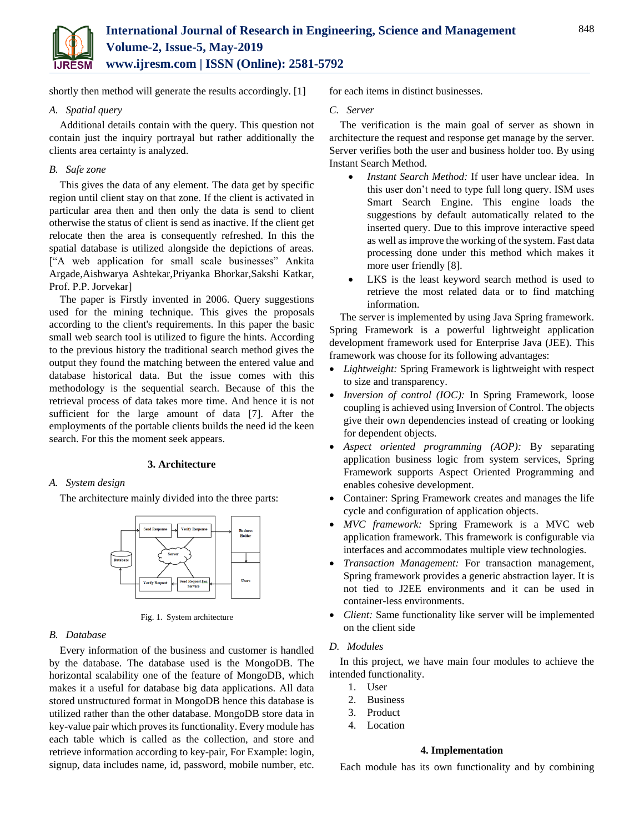

shortly then method will generate the results accordingly. [1]

# *A. Spatial query*

Additional details contain with the query. This question not contain just the inquiry portrayal but rather additionally the clients area certainty is analyzed.

# *B. Safe zone*

This gives the data of any element. The data get by specific region until client stay on that zone. If the client is activated in particular area then and then only the data is send to client otherwise the status of client is send as inactive. If the client get relocate then the area is consequently refreshed. In this the spatial database is utilized alongside the depictions of areas. ["A web application for small scale businesses" Ankita Argade,Aishwarya Ashtekar,Priyanka Bhorkar,Sakshi Katkar, Prof. P.P. Jorvekar]

The paper is Firstly invented in 2006. Query suggestions used for the mining technique. This gives the proposals according to the client's requirements. In this paper the basic small web search tool is utilized to figure the hints. According to the previous history the traditional search method gives the output they found the matching between the entered value and database historical data. But the issue comes with this methodology is the sequential search. Because of this the retrieval process of data takes more time. And hence it is not sufficient for the large amount of data [7]. After the employments of the portable clients builds the need id the keen search. For this the moment seek appears.

## **3. Architecture**

# *A. System design*

The architecture mainly divided into the three parts:



Fig. 1. System architecture

# *B. Database*

Every information of the business and customer is handled by the database. The database used is the MongoDB. The horizontal scalability one of the feature of MongoDB, which makes it a useful for database big data applications. All data stored unstructured format in MongoDB hence this database is utilized rather than the other database. MongoDB store data in key-value pair which proves its functionality. Every module has each table which is called as the collection, and store and retrieve information according to key-pair, For Example: login, signup, data includes name, id, password, mobile number, etc. for each items in distinct businesses.

## *C. Server*

The verification is the main goal of server as shown in architecture the request and response get manage by the server. Server verifies both the user and business holder too. By using Instant Search Method.

- *Instant Search Method:* If user have unclear idea. In this user don't need to type full long query. ISM uses Smart Search Engine. This engine loads the suggestions by default automatically related to the inserted query. Due to this improve interactive speed as well as improve the working of the system. Fast data processing done under this method which makes it more user friendly [8].
- LKS is the least keyword search method is used to retrieve the most related data or to find matching information.

The server is implemented by using Java Spring framework. Spring Framework is a powerful lightweight application development framework used for Enterprise Java (JEE). This framework was choose for its following advantages:

- *Lightweight:* Spring Framework is lightweight with respect to size and transparency.
- *Inversion of control (IOC):* In Spring Framework, loose coupling is achieved using Inversion of Control. The objects give their own dependencies instead of creating or looking for dependent objects.
- *Aspect oriented programming (AOP):* By separating application business logic from system services, Spring Framework supports Aspect Oriented Programming and enables cohesive development.
- Container: Spring Framework creates and manages the life cycle and configuration of application objects.
- *MVC framework:* Spring Framework is a MVC web application framework. This framework is configurable via interfaces and accommodates multiple view technologies.
- *Transaction Management:* For transaction management, Spring framework provides a generic abstraction layer. It is not tied to J2EE environments and it can be used in container-less environments.
- *Client:* Same functionality like server will be implemented on the client side

# *D. Modules*

In this project, we have main four modules to achieve the intended functionality.

- 1. User
- 2. Business
- 3. Product
- 4. Location

## **4. Implementation**

Each module has its own functionality and by combining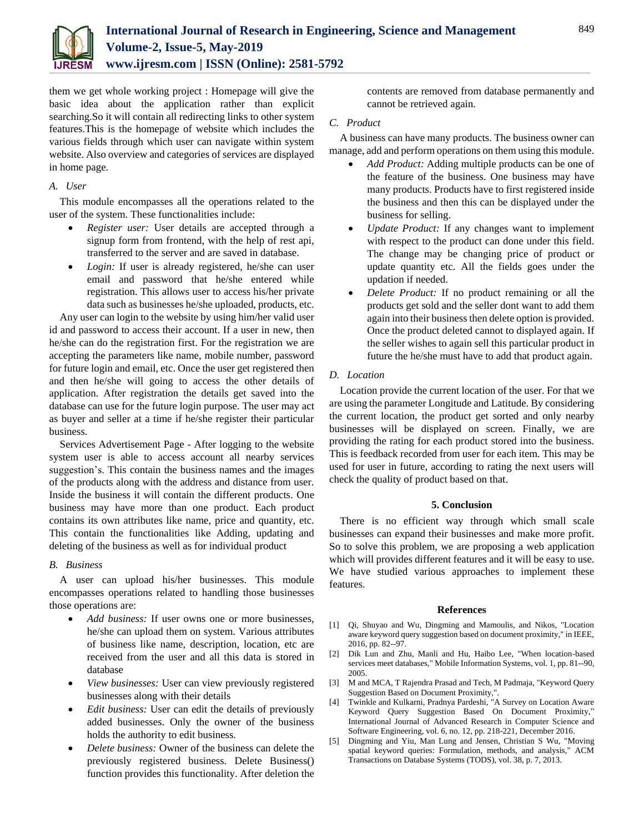

them we get whole working project : Homepage will give the basic idea about the application rather than explicit searching.So it will contain all redirecting links to other system features.This is the homepage of website which includes the various fields through which user can navigate within system website. Also overview and categories of services are displayed in home page.

# *A. User*

This module encompasses all the operations related to the user of the system. These functionalities include:

- *Register user:* User details are accepted through a signup form from frontend, with the help of rest api, transferred to the server and are saved in database.
- *Login:* If user is already registered, he/she can user email and password that he/she entered while registration. This allows user to access his/her private data such as businesses he/she uploaded, products, etc.

Any user can login to the website by using him/her valid user id and password to access their account. If a user in new, then he/she can do the registration first. For the registration we are accepting the parameters like name, mobile number, password for future login and email, etc. Once the user get registered then and then he/she will going to access the other details of application. After registration the details get saved into the database can use for the future login purpose. The user may act as buyer and seller at a time if he/she register their particular business.

Services Advertisement Page - After logging to the website system user is able to access account all nearby services suggestion's. This contain the business names and the images of the products along with the address and distance from user. Inside the business it will contain the different products. One business may have more than one product. Each product contains its own attributes like name, price and quantity, etc. This contain the functionalities like Adding, updating and deleting of the business as well as for individual product

## *B. Business*

A user can upload his/her businesses. This module encompasses operations related to handling those businesses those operations are:

- *Add business:* If user owns one or more businesses, he/she can upload them on system. Various attributes of business like name, description, location, etc are received from the user and all this data is stored in database
- *View businesses:* User can view previously registered businesses along with their details
- *Edit business:* User can edit the details of previously added businesses. Only the owner of the business holds the authority to edit business.
- *Delete business:* Owner of the business can delete the previously registered business. Delete Business() function provides this functionality. After deletion the

contents are removed from database permanently and cannot be retrieved again.

# *C. Product*

A business can have many products. The business owner can manage, add and perform operations on them using this module.

- *Add Product:* Adding multiple products can be one of the feature of the business. One business may have many products. Products have to first registered inside the business and then this can be displayed under the business for selling.
- *Update Product:* If any changes want to implement with respect to the product can done under this field. The change may be changing price of product or update quantity etc. All the fields goes under the updation if needed.
- *Delete Product:* If no product remaining or all the products get sold and the seller dont want to add them again into their business then delete option is provided. Once the product deleted cannot to displayed again. If the seller wishes to again sell this particular product in future the he/she must have to add that product again.

# *D. Location*

Location provide the current location of the user. For that we are using the parameter Longitude and Latitude. By considering the current location, the product get sorted and only nearby businesses will be displayed on screen. Finally, we are providing the rating for each product stored into the business. This is feedback recorded from user for each item. This may be used for user in future, according to rating the next users will check the quality of product based on that.

## **5. Conclusion**

There is no efficient way through which small scale businesses can expand their businesses and make more profit. So to solve this problem, we are proposing a web application which will provides different features and it will be easy to use. We have studied various approaches to implement these features.

## **References**

- [1] Qi, Shuyao and Wu, Dingming and Mamoulis, and Nikos, "Location aware keyword query suggestion based on document proximity," in IEEE, 2016, pp. 82--97.
- [2] Dik Lun and Zhu, Manli and Hu, Haibo Lee, "When location-based services meet databases," Mobile Information Systems, vol. 1, pp. 81--90, 2005.
- [3] M and MCA, T Rajendra Prasad and Tech, M Padmaja, "Keyword Query Suggestion Based on Document Proximity,".
- [4] Twinkle and Kulkarni, Pradnya Pardeshi, "A Survey on Location Aware Keyword Query Suggestion Based On Document Proximity," International Journal of Advanced Research in Computer Science and Software Engineering, vol. 6, no. 12, pp. 218-221, December 2016.
- [5] Dingming and Yiu, Man Lung and Jensen, Christian S Wu, "Moving spatial keyword queries: Formulation, methods, and analysis," ACM Transactions on Database Systems (TODS), vol. 38, p. 7, 2013.